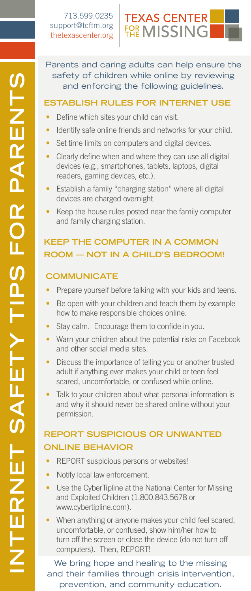

Parents and caring adults can help ensure the safety of children while online by reviewing and enforcing the following guidelines.

### **Establish Rules for internet Use**

- Define which sites your child can visit.
- Identify safe online friends and networks for your child.
- Set time limits on computers and digital devices.
- Clearly define when and where they can use all digital devices (e.g., smartphones, tablets, laptops, digital readers, gaming devices, etc.).
- Establish a family "charging station" where all digital devices are charged overnight.
- Keep the house rules posted near the family computer and family charging station.

# **Keep the computer in a common room — not IN a child's bedroom!**

### **communicate**

- Prepare yourself before talking with your kids and teens.
- Be open with your children and teach them by example how to make responsible choices online.
- Stay calm. Encourage them to confide in you.
- Warn your children about the potential risks on Facebook and other social media sites.
- Discuss the importance of telling you or another trusted adult if anything ever makes your child or teen feel scared, uncomfortable, or confused while online.
- Talk to your children about what personal information is and why it should never be shared online without your permission.

## **report suspicious or unwanted online behavior**

- REPORT suspicious persons or websites!
- Notify local law enforcement.
- Use the CyberTipline at the National Center for Missing and Exploited Children (1.800.843.5678 or www.cybertipline.com).
- When anything or anyone makes your child feel scared, uncomfortable, or confused, show him/her how to turn off the screen or close the device (do not turn off computers). Then, REPORT!

We bring hope and healing to the missing and their families through crisis intervention, prevention, and community education.